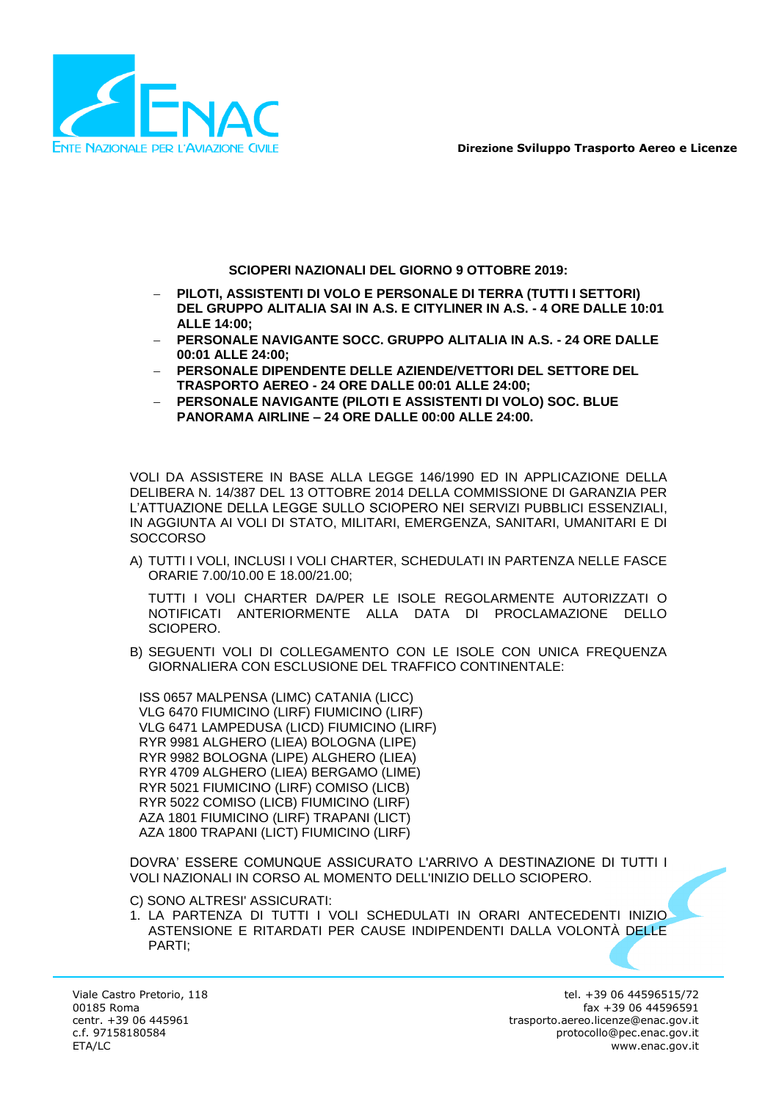

**Direzione Sviluppo Trasporto Aereo e Licenze**

**SCIOPERI NAZIONALI DEL GIORNO 9 OTTOBRE 2019:**

- **PILOTI, ASSISTENTI DI VOLO E PERSONALE DI TERRA (TUTTI I SETTORI) DEL GRUPPO ALITALIA SAI IN A.S. E CITYLINER IN A.S. - 4 ORE DALLE 10:01 ALLE 14:00;**
- **PERSONALE NAVIGANTE SOCC. GRUPPO ALITALIA IN A.S. - 24 ORE DALLE 00:01 ALLE 24:00;**
- **PERSONALE DIPENDENTE DELLE AZIENDE/VETTORI DEL SETTORE DEL TRASPORTO AEREO - 24 ORE DALLE 00:01 ALLE 24:00;**
- **PERSONALE NAVIGANTE (PILOTI E ASSISTENTI DI VOLO) SOC. BLUE PANORAMA AIRLINE – 24 ORE DALLE 00:00 ALLE 24:00.**

VOLI DA ASSISTERE IN BASE ALLA LEGGE 146/1990 ED IN APPLICAZIONE DELLA DELIBERA N. 14/387 DEL 13 OTTOBRE 2014 DELLA COMMISSIONE DI GARANZIA PER L'ATTUAZIONE DELLA LEGGE SULLO SCIOPERO NEI SERVIZI PUBBLICI ESSENZIALI, IN AGGIUNTA AI VOLI DI STATO, MILITARI, EMERGENZA, SANITARI, UMANITARI E DI **SOCCORSO** 

A) TUTTI I VOLI, INCLUSI I VOLI CHARTER, SCHEDULATI IN PARTENZA NELLE FASCE ORARIE 7.00/10.00 E 18.00/21.00;

TUTTI I VOLI CHARTER DA/PER LE ISOLE REGOLARMENTE AUTORIZZATI O NOTIFICATI ANTERIORMENTE ALLA DATA DI PROCLAMAZIONE DELLO SCIOPERO.

B) SEGUENTI VOLI DI COLLEGAMENTO CON LE ISOLE CON UNICA FREQUENZA GIORNALIERA CON ESCLUSIONE DEL TRAFFICO CONTINENTALE:

ISS 0657 MALPENSA (LIMC) CATANIA (LICC) VLG 6470 FIUMICINO (LIRF) FIUMICINO (LIRF) VLG 6471 LAMPEDUSA (LICD) FIUMICINO (LIRF) RYR 9981 ALGHERO (LIEA) BOLOGNA (LIPE) RYR 9982 BOLOGNA (LIPE) ALGHERO (LIEA) RYR 4709 ALGHERO (LIEA) BERGAMO (LIME) RYR 5021 FIUMICINO (LIRF) COMISO (LICB) RYR 5022 COMISO (LICB) FIUMICINO (LIRF) AZA 1801 FIUMICINO (LIRF) TRAPANI (LICT) AZA 1800 TRAPANI (LICT) FIUMICINO (LIRF)

DOVRA' ESSERE COMUNQUE ASSICURATO L'ARRIVO A DESTINAZIONE DI TUTTI I VOLI NAZIONALI IN CORSO AL MOMENTO DELL'INIZIO DELLO SCIOPERO.

C) SONO ALTRESI' ASSICURATI:

1. LA PARTENZA DI TUTTI I VOLI SCHEDULATI IN ORARI ANTECEDENTI INIZIO ASTENSIONE E RITARDATI PER CAUSE INDIPENDENTI DALLA VOLONTÀ DELLE PARTI;

Viale Castro Pretorio, 118 00185 Roma centr. +39 06 445961 c.f. 97158180584 ETA/LC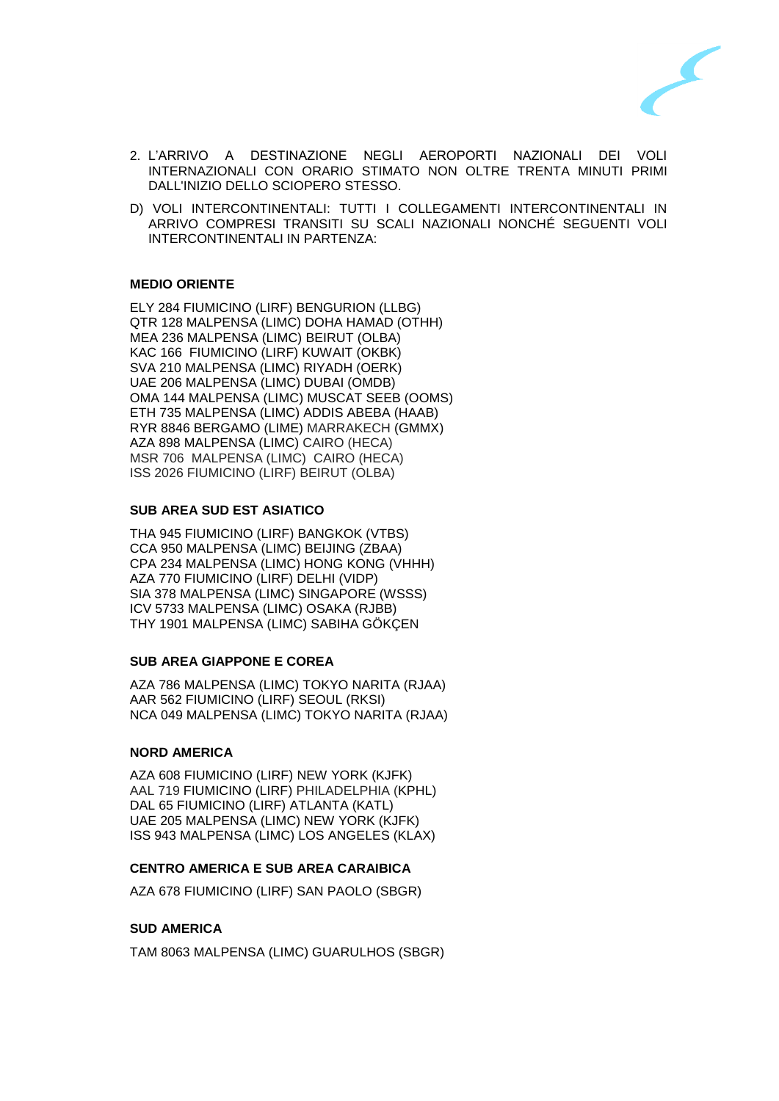

- 2. L'ARRIVO A DESTINAZIONE NEGLI AEROPORTI NAZIONALI DEI VOLI INTERNAZIONALI CON ORARIO STIMATO NON OLTRE TRENTA MINUTI PRIMI DALL'INIZIO DELLO SCIOPERO STESSO.
- D) VOLI INTERCONTINENTALI: TUTTI I COLLEGAMENTI INTERCONTINENTALI IN ARRIVO COMPRESI TRANSITI SU SCALI NAZIONALI NONCHÉ SEGUENTI VOLI INTERCONTINENTALI IN PARTENZA:

# **MEDIO ORIENTE**

ELY 284 FIUMICINO (LIRF) BENGURION (LLBG) QTR 128 MALPENSA (LIMC) DOHA HAMAD (OTHH) MEA 236 MALPENSA (LIMC) BEIRUT (OLBA) KAC 166 FIUMICINO (LIRF) KUWAIT (OKBK) SVA 210 MALPENSA (LIMC) RIYADH (OERK) UAE 206 MALPENSA (LIMC) DUBAI (OMDB) OMA 144 MALPENSA (LIMC) MUSCAT SEEB (OOMS) ETH 735 MALPENSA (LIMC) ADDIS ABEBA (HAAB) RYR 8846 BERGAMO (LIME) MARRAKECH (GMMX) AZA 898 MALPENSA (LIMC) CAIRO (HECA) MSR 706 MALPENSA (LIMC) CAIRO (HECA) ISS 2026 FIUMICINO (LIRF) BEIRUT (OLBA)

### **SUB AREA SUD EST ASIATICO**

THA 945 FIUMICINO (LIRF) BANGKOK (VTBS) CCA 950 MALPENSA (LIMC) BEIJING (ZBAA) CPA 234 MALPENSA (LIMC) HONG KONG (VHHH) AZA 770 FIUMICINO (LIRF) DELHI (VIDP) SIA 378 MALPENSA (LIMC) SINGAPORE (WSSS) ICV 5733 MALPENSA (LIMC) OSAKA (RJBB) THY 1901 MALPENSA (LIMC) SABIHA GÖKÇEN

### **SUB AREA GIAPPONE E COREA**

AZA 786 MALPENSA (LIMC) TOKYO NARITA (RJAA) AAR 562 FIUMICINO (LIRF) SEOUL (RKSI) NCA 049 MALPENSA (LIMC) TOKYO NARITA (RJAA)

### **NORD AMERICA**

AZA 608 FIUMICINO (LIRF) NEW YORK (KJFK) AAL 719 FIUMICINO (LIRF) PHILADELPHIA (KPHL) DAL 65 FIUMICINO (LIRF) ATLANTA (KATL) UAE 205 MALPENSA (LIMC) NEW YORK (KJFK) ISS 943 MALPENSA (LIMC) LOS ANGELES (KLAX)

## **CENTRO AMERICA E SUB AREA CARAIBICA**

AZA 678 FIUMICINO (LIRF) SAN PAOLO (SBGR)

### **SUD AMERICA**

TAM 8063 MALPENSA (LIMC) GUARULHOS (SBGR)